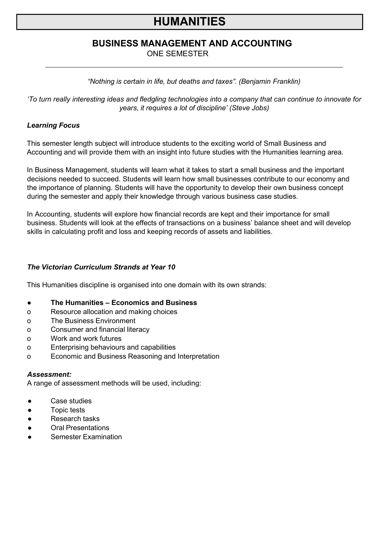# **HUMANITIES**

# **BUSINESS MANAGEMENT AND ACCOUNTING**

ONE SEMESTER

## *"Nothing is certain in life, but deaths and taxes". (Benjamin Franklin)*

*'To turn really interesting ideas and fledgling technologies into a company that can continue to innovate for years, it requires a lot of discipline' (Steve Jobs)*

## *Learning Focus*

This semester length subject will introduce students to the exciting world of Small Business and Accounting and will provide them with an insight into future studies with the Humanities learning area.

In Business Management, students will learn what it takes to start a small business and the important decisions needed to succeed. Students will learn how small businesses contribute to our economy and the importance of planning. Students will have the opportunity to develop their own business concept during the semester and apply their knowledge through various business case studies.

In Accounting, students will explore how financial records are kept and their importance for small business. Students will look at the effects of transactions on a business' balance sheet and will develop skills in calculating profit and loss and keeping records of assets and liabilities.

## *The Victorian Curriculum Strands at Year 10*

This Humanities discipline is organised into one domain with its own strands:

- **● The Humanities – Economics and Business**
- o Resource allocation and making choices
- o The Business Environment
- o Consumer and financial literacy
- o Work and work futures
- o Enterprising behaviours and capabilities
- o Economic and Business Reasoning and Interpretation

#### *Assessment:*

A range of assessment methods will be used, including:

- Case studies
- Topic tests
- Research tasks
- **Oral Presentations**
- **Semester Examination**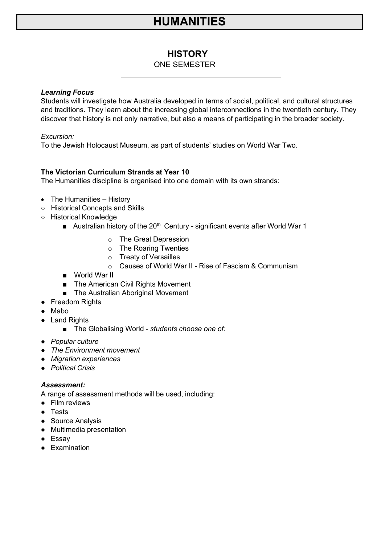# **HUMANITIES**

# **HISTORY**

## ONE SEMESTER

#### *Learning Focus*

Students will investigate how Australia developed in terms of social, political, and cultural structures and traditions. They learn about the increasing global interconnections in the twentieth century. They discover that history is not only narrative, but also a means of participating in the broader society.

## *Excursion:*

To the Jewish Holocaust Museum, as part of students' studies on World War Two.

## **The Victorian Curriculum Strands at Year 10**

The Humanities discipline is organised into one domain with its own strands:

- The Humanities History
- Historical Concepts and Skills
- Historical Knowledge
	- Australian history of the 20<sup>th</sup> Century significant events after World War 1
		- o The Great Depression
		- o The Roaring Twenties
		- o Treaty of Versailles
		- o Causes of World War II Rise of Fascism & Communism
	- World War II
	- The American Civil Rights Movement
	- The Australian Aboriginal Movement
- Freedom Rights
- Mabo
- Land Rights
	- The Globalising World *students choose one of:*
- *Popular culture*
- *The Environment movement*
- *Migration experiences*
- *Political Crisis*

#### *Assessment:*

A range of assessment methods will be used, including:

- Film reviews
- Tests
- Source Analysis
- Multimedia presentation
- Essay
- Examination